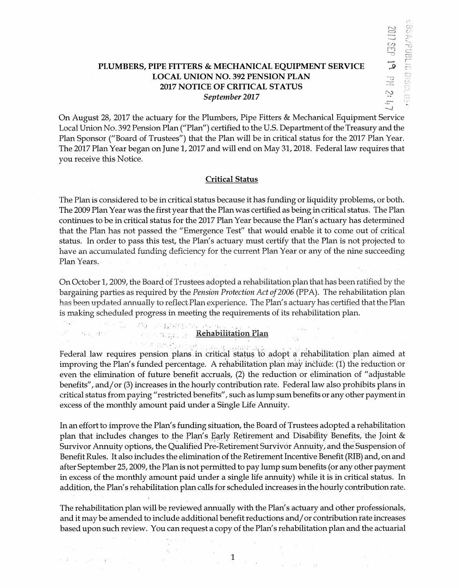## PLUMBERS, PIPE FITTERS & MECHANICAL EQUIPMENT SERVICE LOCAL UNION NO. 392 PENSION PLAN 2017 NOTICE OF CRITICAL STATUS *September* 2017

On August 28, 2017 the actuary for the Plumbers, Pipe Fitters & Mechanical Equipment Service Local Union No. 392 Pension Plan ("Plan") certified to the U.S. Department of the Treasury and the Plan Sponsor ("Board of Trustees") that the Plan will be in critical status for the 2017 Plan Year. The 2017 Plan Year began on June 1, 2017 and will end on May 31, 2018. Federal law requires that you receive this Notice.

## Critical Status

The Plan is considered to be in critical status because it has funding or liquidity problems, or both. The 2009 Plan Year was the first year that the Plan was certified as being in critical status. The Plan continues to be in critical status for the 2017 Plan Year because the Plan's actuary has determined that the Plan has not passed the "Emergence Test" that would enabie it to come out of critical status. In order to pass this test, the Plan's actuary must certify that the Plan is not projected to have an accumulated funding deficiency for the current Plan Year or any of the nine succeeding Plan Years.

On October 1, 2009, the Board of Trustees adopted a rehabilitation plan that has been ratified by the bargaining parties as required by the *Pension Protection Act of 2006* (PPA). The rehabilitation plan has been updated annually to reflect Plan experience. The Plan's actuary has certified that the Plan is making scheduled progress in meeting the requirements of its rehabilitation plan.

 $\mathcal{J}(\mathbf{r}_1,\ldots,\mathbf{r}_n) \in \mathcal{J}(\mathbb{R}^n) \cap \mathcal{M}(\mathbb{R}^n) \cap \mathcal{M}(\mathbb{R}^n)$  , where Rehabilitation Plan

路。 机石材料

 $\label{eq:2.1} \mathcal{L}(\mathcal{F}_\lambda,\mathcal{F}_\lambda) = \mathcal{L}(\mathcal{F}_\lambda,\mathcal{F}_\lambda) = \mathcal{L}(\mathcal{F}_\lambda)$ 

医全部的 网络无量的 计图

' - - : \_! i \_, <sup>~</sup> Federal law requires pension plans in critical status to adopt a rehabilitation plan aimed at improving the Plan's funded percentage. A rehabilitation plan may include: (1) the reduction or even the elimination of future benefit accruals, (2) the reduction or elimination of "adjustable benefits", and/or (3) increases in the hourly contribution rate. Federal law also prohibits plans in critical status from paying */1* restricted benefits", such as lump sum benefits or any other payment in excess of the monthly amount paid under a Single Life Annuity.

In an effort to improve the Plan's funding situation, the Board of Trustees adopted a rehabilitation plan that includes changes to the Plan's Early Retirement and Disability Benefits, the Joint  $\&$ Survivor Annuity options, the Qualified Pre-Retirement Survivor Annuity, and the Suspension of Benefit Rules. It also includes the elimination of the Retirement Incentive Benefit (RIB) and, on and after September 25, 2009, the Plan is not permitted to pay lump sum benefits (or any other payment in excess of the monthly amount paid under a single life annuity) while it is in critical status. In addition, the Plan's rehabilitation plan calls for scheduled increases in the hourly contribution rate.

The rehabilitation plan will be reviewed annually with the Plan's actuary and other professionals, and it may be amended to include additional benefit reductions and/ or contribution rate increases based upon such review. You can request a copy of the Plan's rehabilitation plan and the actuarial

1

 $\sim$   $\sim$ 

 $\frac{1}{\sqrt{2}}\left(\frac{1}{\sqrt{2}}\right)^{1/2}\left(\frac{1}{\sqrt{2}}\right)^{1/2}\left(\frac{1}{\sqrt{2}}\right)^{1/2}\left(\frac{1}{\sqrt{2}}\right)^{1/2}\left(\frac{1}{\sqrt{2}}\right)^{1/2}\left(\frac{1}{\sqrt{2}}\right)^{1/2}\left(\frac{1}{\sqrt{2}}\right)^{1/2}\left(\frac{1}{\sqrt{2}}\right)^{1/2}\left(\frac{1}{\sqrt{2}}\right)^{1/2}\left(\frac{1}{\sqrt{2}}\right)^{1/2}\left(\frac{1}{\sqrt{2}}\right)^{1/2}\$ 

 $\sim \omega_2 \sim \omega$  .

 $\label{eq:2.1} \mathcal{F}(\mathcal{F}) = \mathcal{F}(\mathcal{F}) \mathcal{F}(\mathcal{F})$